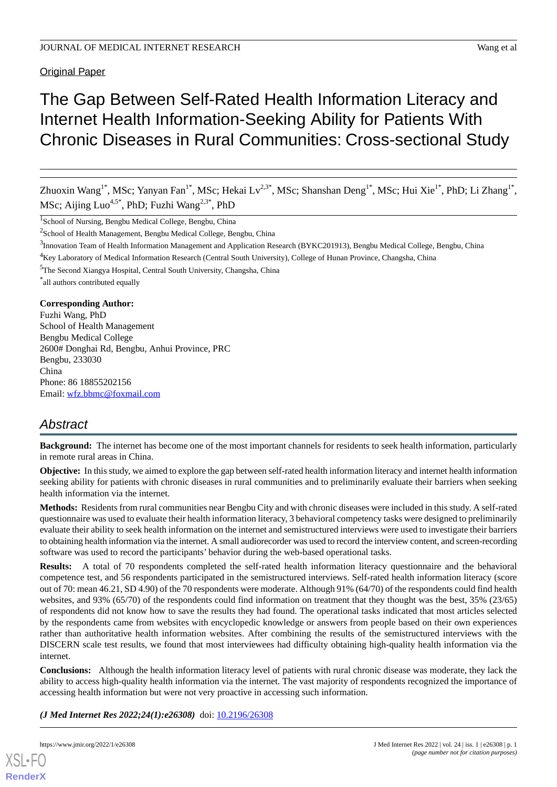Original Paper

# The Gap Between Self-Rated Health Information Literacy and Internet Health Information-Seeking Ability for Patients With Chronic Diseases in Rural Communities: Cross-sectional Study

Zhuoxin Wang<sup>1\*</sup>, MSc; Yanyan Fan<sup>1\*</sup>, MSc; Hekai Lv<sup>2,3\*</sup>, MSc; Shanshan Deng<sup>1\*</sup>, MSc; Hui Xie<sup>1\*</sup>, PhD; Li Zhang<sup>1\*,</sup> MSc; Aijing Luo<sup>4,5\*</sup>, PhD; Fuzhi Wang<sup>2,3\*</sup>, PhD

<sup>1</sup>School of Nursing, Bengbu Medical College, Bengbu, China

<sup>2</sup> School of Health Management, Bengbu Medical College, Bengbu, China

<sup>3</sup>Innovation Team of Health Information Management and Application Research (BYKC201913), Bengbu Medical College, Bengbu, China

<sup>4</sup>Key Laboratory of Medical Information Research (Central South University), College of Hunan Province, Changsha, China

<sup>5</sup>The Second Xiangya Hospital, Central South University, Changsha, China

\* all authors contributed equally

#### **Corresponding Author:**

Fuzhi Wang, PhD School of Health Management Bengbu Medical College 2600# Donghai Rd, Bengbu, Anhui Province, PRC Bengbu, 233030 China Phone: 86 18855202156 Email: [wfz.bbmc@foxmail.com](mailto:wfz.bbmc@foxmail.com)

## *Abstract*

**Background:** The internet has become one of the most important channels for residents to seek health information, particularly in remote rural areas in China.

**Objective:** In this study, we aimed to explore the gap between self-rated health information literacy and internet health information seeking ability for patients with chronic diseases in rural communities and to preliminarily evaluate their barriers when seeking health information via the internet.

**Methods:** Residents from rural communities near Bengbu City and with chronic diseases were included in this study. A self-rated questionnaire was used to evaluate their health information literacy, 3 behavioral competency tasks were designed to preliminarily evaluate their ability to seek health information on the internet and semistructured interviews were used to investigate their barriers to obtaining health information via the internet. A small audiorecorder was used to record the interview content, and screen-recording software was used to record the participants' behavior during the web-based operational tasks.

**Results:** A total of 70 respondents completed the self-rated health information literacy questionnaire and the behavioral competence test, and 56 respondents participated in the semistructured interviews. Self-rated health information literacy (score out of 70: mean 46.21, SD 4.90) of the 70 respondents were moderate. Although 91% (64/70) of the respondents could find health websites, and 93% (65/70) of the respondents could find information on treatment that they thought was the best, 35% (23/65) of respondents did not know how to save the results they had found. The operational tasks indicated that most articles selected by the respondents came from websites with encyclopedic knowledge or answers from people based on their own experiences rather than authoritative health information websites. After combining the results of the semistructured interviews with the DISCERN scale test results, we found that most interviewees had difficulty obtaining high-quality health information via the internet.

**Conclusions:** Although the health information literacy level of patients with rural chronic disease was moderate, they lack the ability to access high-quality health information via the internet. The vast majority of respondents recognized the importance of accessing health information but were not very proactive in accessing such information.

*(J Med Internet Res 2022;24(1):e26308)* doi:  $10.2196/26308$ 

[XSL](http://www.w3.org/Style/XSL)•FO **[RenderX](http://www.renderx.com/)**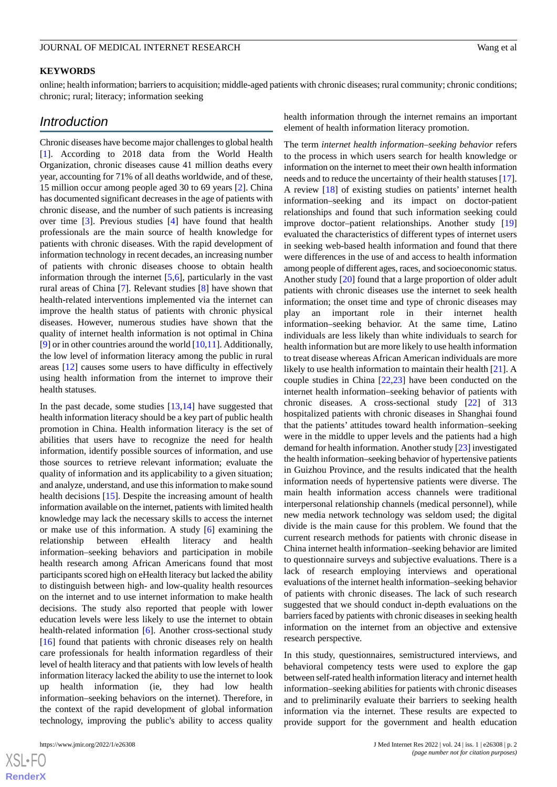#### **KEYWORDS**

online; health information; barriers to acquisition; middle-aged patients with chronic diseases; rural community; chronic conditions; chronic; rural; literacy; information seeking

### *Introduction*

Chronic diseases have become major challenges to global health [[1\]](#page-8-0). According to 2018 data from the World Health Organization, chronic diseases cause 41 million deaths every year, accounting for 71% of all deaths worldwide, and of these, 15 million occur among people aged 30 to 69 years [\[2](#page-8-1)]. China has documented significant decreases in the age of patients with chronic disease, and the number of such patients is increasing over time [[3\]](#page-8-2). Previous studies [\[4](#page-8-3)] have found that health professionals are the main source of health knowledge for patients with chronic diseases. With the rapid development of information technology in recent decades, an increasing number of patients with chronic diseases choose to obtain health information through the internet [\[5](#page-8-4),[6\]](#page-8-5), particularly in the vast rural areas of China [\[7](#page-8-6)]. Relevant studies [\[8](#page-8-7)] have shown that health-related interventions implemented via the internet can improve the health status of patients with chronic physical diseases. However, numerous studies have shown that the quality of internet health information is not optimal in China [[9\]](#page-8-8) or in other countries around the world  $[10,11]$  $[10,11]$  $[10,11]$ . Additionally, the low level of information literacy among the public in rural areas [[12\]](#page-9-2) causes some users to have difficulty in effectively using health information from the internet to improve their health statuses.

In the past decade, some studies  $[13,14]$  $[13,14]$  $[13,14]$  have suggested that health information literacy should be a key part of public health promotion in China. Health information literacy is the set of abilities that users have to recognize the need for health information, identify possible sources of information, and use those sources to retrieve relevant information; evaluate the quality of information and its applicability to a given situation; and analyze, understand, and use this information to make sound health decisions [[15\]](#page-9-5). Despite the increasing amount of health information available on the internet, patients with limited health knowledge may lack the necessary skills to access the internet or make use of this information. A study [\[6](#page-8-5)] examining the relationship between eHealth literacy and health information–seeking behaviors and participation in mobile health research among African Americans found that most participants scored high on eHealth literacy but lacked the ability to distinguish between high- and low-quality health resources on the internet and to use internet information to make health decisions. The study also reported that people with lower education levels were less likely to use the internet to obtain health-related information [[6\]](#page-8-5). Another cross-sectional study [[16\]](#page-9-6) found that patients with chronic diseases rely on health care professionals for health information regardless of their level of health literacy and that patients with low levels of health information literacy lacked the ability to use the internet to look up health information (ie, they had low health information–seeking behaviors on the internet). Therefore, in the context of the rapid development of global information technology, improving the public's ability to access quality

 $XS$  $\cdot$ FC **[RenderX](http://www.renderx.com/)** health information through the internet remains an important element of health information literacy promotion.

The term *internet health information–seeking behavior* refers to the process in which users search for health knowledge or information on the internet to meet their own health information needs and to reduce the uncertainty of their health statuses [[17\]](#page-9-7). A review [\[18](#page-9-8)] of existing studies on patients' internet health information–seeking and its impact on doctor-patient relationships and found that such information seeking could improve doctor–patient relationships. Another study [\[19](#page-9-9)] evaluated the characteristics of different types of internet users in seeking web-based health information and found that there were differences in the use of and access to health information among people of different ages, races, and socioeconomic status. Another study [\[20](#page-9-10)] found that a large proportion of older adult patients with chronic diseases use the internet to seek health information; the onset time and type of chronic diseases may play an important role in their internet health information–seeking behavior. At the same time, Latino individuals are less likely than white individuals to search for health information but are more likely to use health information to treat disease whereas African American individuals are more likely to use health information to maintain their health [[21\]](#page-9-11). A couple studies in China [[22](#page-9-12)[,23](#page-9-13)] have been conducted on the internet health information–seeking behavior of patients with chronic diseases. A cross-sectional study [\[22](#page-9-12)] of 313 hospitalized patients with chronic diseases in Shanghai found that the patients' attitudes toward health information–seeking were in the middle to upper levels and the patients had a high demand for health information. Another study [[23\]](#page-9-13) investigated the health information–seeking behavior of hypertensive patients in Guizhou Province, and the results indicated that the health information needs of hypertensive patients were diverse. The main health information access channels were traditional interpersonal relationship channels (medical personnel), while new media network technology was seldom used; the digital divide is the main cause for this problem. We found that the current research methods for patients with chronic disease in China internet health information–seeking behavior are limited to questionnaire surveys and subjective evaluations. There is a lack of research employing interviews and operational evaluations of the internet health information–seeking behavior of patients with chronic diseases. The lack of such research suggested that we should conduct in-depth evaluations on the barriers faced by patients with chronic diseases in seeking health information on the internet from an objective and extensive research perspective.

In this study, questionnaires, semistructured interviews, and behavioral competency tests were used to explore the gap between self-rated health information literacy and internet health information–seeking abilities for patients with chronic diseases and to preliminarily evaluate their barriers to seeking health information via the internet. These results are expected to provide support for the government and health education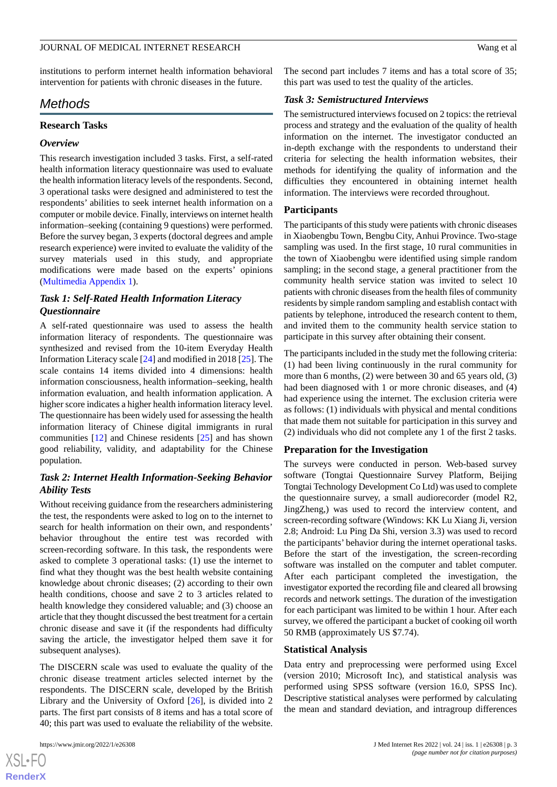institutions to perform internet health information behavioral intervention for patients with chronic diseases in the future.

#### *Methods*

## **Research Tasks**

#### *Overview*

This research investigation included 3 tasks. First, a self-rated health information literacy questionnaire was used to evaluate the health information literacy levels of the respondents. Second, 3 operational tasks were designed and administered to test the respondents' abilities to seek internet health information on a computer or mobile device. Finally, interviews on internet health information–seeking (containing 9 questions) were performed. Before the survey began, 3 experts (doctoral degrees and ample research experience) were invited to evaluate the validity of the survey materials used in this study, and appropriate modifications were made based on the experts' opinions ([Multimedia Appendix 1\)](#page-8-9).

#### *Task 1: Self-Rated Health Information Literacy Questionnaire*

A self-rated questionnaire was used to assess the health information literacy of respondents. The questionnaire was synthesized and revised from the 10-item Everyday Health Information Literacy scale [\[24](#page-9-14)] and modified in 2018 [\[25](#page-9-15)]. The scale contains 14 items divided into 4 dimensions: health information consciousness, health information–seeking, health information evaluation, and health information application. A higher score indicates a higher health information literacy level. The questionnaire has been widely used for assessing the health information literacy of Chinese digital immigrants in rural communities [\[12](#page-9-2)] and Chinese residents [\[25](#page-9-15)] and has shown good reliability, validity, and adaptability for the Chinese population.

#### *Task 2: Internet Health Information-Seeking Behavior Ability Tests*

Without receiving guidance from the researchers administering the test, the respondents were asked to log on to the internet to search for health information on their own, and respondents' behavior throughout the entire test was recorded with screen-recording software. In this task, the respondents were asked to complete 3 operational tasks: (1) use the internet to find what they thought was the best health website containing knowledge about chronic diseases; (2) according to their own health conditions, choose and save 2 to 3 articles related to health knowledge they considered valuable; and (3) choose an article that they thought discussed the best treatment for a certain chronic disease and save it (if the respondents had difficulty saving the article, the investigator helped them save it for subsequent analyses).

The DISCERN scale was used to evaluate the quality of the chronic disease treatment articles selected internet by the respondents. The DISCERN scale, developed by the British Library and the University of Oxford [[26\]](#page-9-16), is divided into 2 parts. The first part consists of 8 items and has a total score of 40; this part was used to evaluate the reliability of the website.

 $XS$  $\cdot$ FC **[RenderX](http://www.renderx.com/)** The second part includes 7 items and has a total score of 35; this part was used to test the quality of the articles.

#### *Task 3: Semistructured Interviews*

The semistructured interviews focused on 2 topics: the retrieval process and strategy and the evaluation of the quality of health information on the internet. The investigator conducted an in-depth exchange with the respondents to understand their criteria for selecting the health information websites, their methods for identifying the quality of information and the difficulties they encountered in obtaining internet health information. The interviews were recorded throughout.

#### **Participants**

The participants of this study were patients with chronic diseases in Xiaobengbu Town, Bengbu City, Anhui Province. Two-stage sampling was used. In the first stage, 10 rural communities in the town of Xiaobengbu were identified using simple random sampling; in the second stage, a general practitioner from the community health service station was invited to select 10 patients with chronic diseases from the health files of community residents by simple random sampling and establish contact with patients by telephone, introduced the research content to them, and invited them to the community health service station to participate in this survey after obtaining their consent.

The participants included in the study met the following criteria: (1) had been living continuously in the rural community for more than 6 months, (2) were between 30 and 65 years old, (3) had been diagnosed with 1 or more chronic diseases, and  $(4)$ had experience using the internet. The exclusion criteria were as follows: (1) individuals with physical and mental conditions that made them not suitable for participation in this survey and (2) individuals who did not complete any 1 of the first 2 tasks.

#### **Preparation for the Investigation**

The surveys were conducted in person. Web-based survey software (Tongtai Questionnaire Survey Platform, Beijing Tongtai Technology Development Co Ltd) was used to complete the questionnaire survey, a small audiorecorder (model R2, JingZheng,) was used to record the interview content, and screen-recording software (Windows: KK Lu Xiang Ji, version 2.8; Android: Lu Ping Da Shi, version 3.3) was used to record the participants' behavior during the internet operational tasks. Before the start of the investigation, the screen-recording software was installed on the computer and tablet computer. After each participant completed the investigation, the investigator exported the recording file and cleared all browsing records and network settings. The duration of the investigation for each participant was limited to be within 1 hour. After each survey, we offered the participant a bucket of cooking oil worth 50 RMB (approximately US \$7.74).

#### **Statistical Analysis**

Data entry and preprocessing were performed using Excel (version 2010; Microsoft Inc), and statistical analysis was performed using SPSS software (version 16.0, SPSS Inc). Descriptive statistical analyses were performed by calculating the mean and standard deviation, and intragroup differences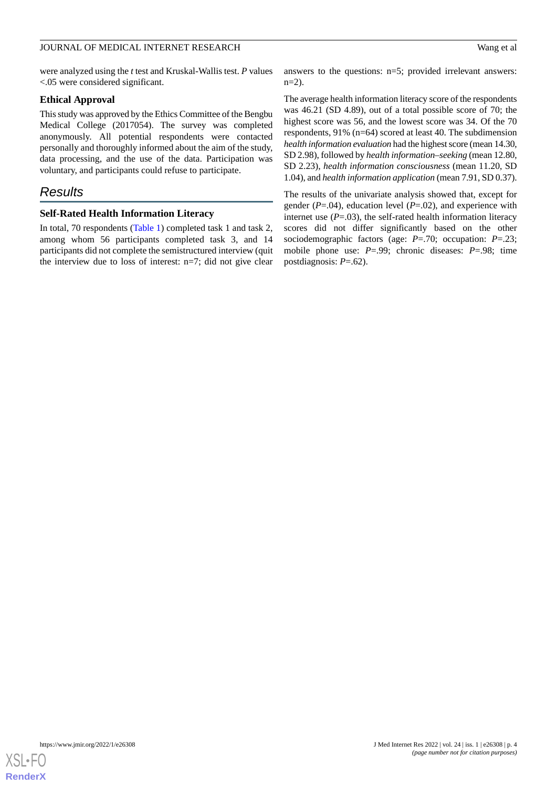were analyzed using the *t* test and Kruskal-Wallis test. *P* values <.05 were considered significant.

#### **Ethical Approval**

This study was approved by the Ethics Committee of the Bengbu Medical College (2017054). The survey was completed anonymously. All potential respondents were contacted personally and thoroughly informed about the aim of the study, data processing, and the use of the data. Participation was voluntary, and participants could refuse to participate.

## *Results*

#### **Self-Rated Health Information Literacy**

In total, 70 respondents [\(Table 1](#page-4-0)) completed task 1 and task 2, among whom 56 participants completed task 3, and 14 participants did not complete the semistructured interview (quit the interview due to loss of interest: n=7; did not give clear answers to the questions: n=5; provided irrelevant answers:  $n=2$ ).

The average health information literacy score of the respondents was 46.21 (SD 4.89), out of a total possible score of 70; the highest score was 56, and the lowest score was 34. Of the 70 respondents, 91% (n=64) scored at least 40. The subdimension *health information evaluation* had the highest score (mean 14.30, SD 2.98), followed by *health information–seeking* (mean 12.80, SD 2.23), *health information consciousness* (mean 11.20, SD 1.04), and *health information application* (mean 7.91, SD 0.37).

The results of the univariate analysis showed that, except for gender (*P*=.04), education level (*P*=.02), and experience with internet use  $(P=.03)$ , the self-rated health information literacy scores did not differ significantly based on the other sociodemographic factors (age: *P*=.70; occupation: *P*=.23; mobile phone use: *P*=.99; chronic diseases: *P*=.98; time postdiagnosis: *P*=.62).

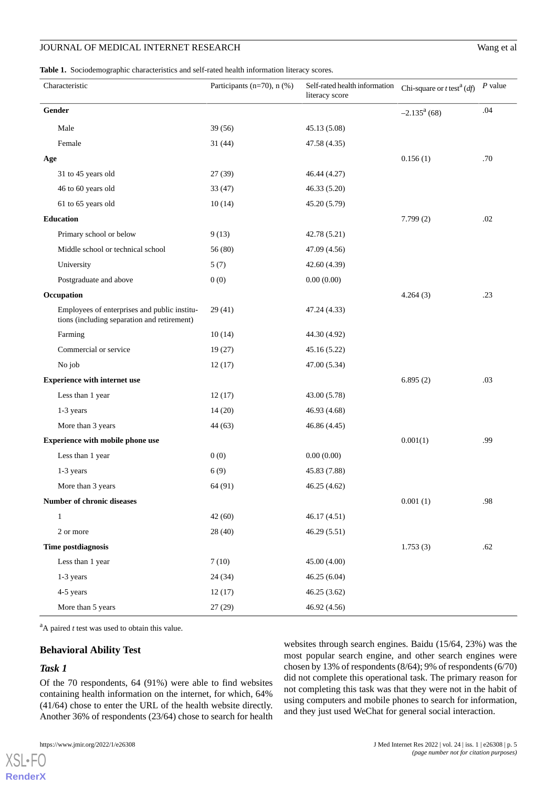#### JOURNAL OF MEDICAL INTERNET RESEARCH

|  |  | Wang et al |  |  |
|--|--|------------|--|--|
|--|--|------------|--|--|

<span id="page-4-0"></span>**Table 1.** Sociodemographic characteristics and self-rated health information literacy scores.

|                                         | Characteristic                                                                              | Participants (n=70), n (%) | Self-rated health information<br>literacy score | Chi-square or $t$ test <sup>a</sup> ( <i>df</i> ) | $P$ value |
|-----------------------------------------|---------------------------------------------------------------------------------------------|----------------------------|-------------------------------------------------|---------------------------------------------------|-----------|
| Gender                                  |                                                                                             |                            |                                                 | $-2.135^a(68)$                                    | .04       |
|                                         | Male                                                                                        | 39 (56)                    | 45.13 (5.08)                                    |                                                   |           |
|                                         | Female                                                                                      | 31(44)                     | 47.58 (4.35)                                    |                                                   |           |
| Age                                     |                                                                                             |                            |                                                 | 0.156(1)                                          | .70       |
|                                         | 31 to 45 years old                                                                          | 27(39)                     | 46.44 (4.27)                                    |                                                   |           |
|                                         | 46 to 60 years old                                                                          | 33(47)                     | 46.33 (5.20)                                    |                                                   |           |
|                                         | 61 to 65 years old                                                                          | 10(14)                     | 45.20 (5.79)                                    |                                                   |           |
| Education                               |                                                                                             |                            |                                                 | 7.799(2)                                          | .02       |
|                                         | Primary school or below                                                                     | 9(13)                      | 42.78 (5.21)                                    |                                                   |           |
|                                         | Middle school or technical school                                                           | 56 (80)                    | 47.09 (4.56)                                    |                                                   |           |
|                                         | University                                                                                  | 5(7)                       | 42.60 (4.39)                                    |                                                   |           |
|                                         | Postgraduate and above                                                                      | 0(0)                       | 0.00(0.00)                                      |                                                   |           |
| Occupation                              |                                                                                             |                            |                                                 | 4.264(3)                                          | .23       |
|                                         | Employees of enterprises and public institu-<br>tions (including separation and retirement) | 29(41)                     | 47.24 (4.33)                                    |                                                   |           |
|                                         | Farming                                                                                     | 10(14)                     | 44.30 (4.92)                                    |                                                   |           |
|                                         | Commercial or service                                                                       | 19(27)                     | 45.16 (5.22)                                    |                                                   |           |
|                                         | No job                                                                                      | 12(17)                     | 47.00 (5.34)                                    |                                                   |           |
| <b>Experience with internet use</b>     |                                                                                             |                            |                                                 | 6.895(2)                                          | .03       |
|                                         | Less than 1 year                                                                            | 12(17)                     | 43.00 (5.78)                                    |                                                   |           |
|                                         | $1-3$ years                                                                                 | 14(20)                     | 46.93 (4.68)                                    |                                                   |           |
|                                         | More than 3 years                                                                           | 44 (63)                    | 46.86 (4.45)                                    |                                                   |           |
| <b>Experience with mobile phone use</b> |                                                                                             |                            |                                                 | 0.001(1)                                          | .99       |
|                                         | Less than 1 year                                                                            | 0(0)                       | 0.00(0.00)                                      |                                                   |           |
|                                         | 1-3 years                                                                                   | 6(9)                       | 45.83 (7.88)                                    |                                                   |           |
|                                         | More than 3 years                                                                           | 64 (91)                    | 46.25 (4.62)                                    |                                                   |           |
| Number of chronic diseases              |                                                                                             |                            |                                                 | 0.001(1)                                          | .98       |
|                                         | $\mathbf{1}$                                                                                | 42(60)                     | 46.17 (4.51)                                    |                                                   |           |
|                                         | 2 or more                                                                                   | 28 (40)                    | 46.29 (5.51)                                    |                                                   |           |
| Time postdiagnosis                      |                                                                                             |                            |                                                 | 1.753(3)                                          | .62       |
|                                         | Less than 1 year                                                                            | 7(10)                      | 45.00 (4.00)                                    |                                                   |           |
|                                         | 1-3 years                                                                                   | 24 (34)                    | 46.25 (6.04)                                    |                                                   |           |
|                                         | 4-5 years                                                                                   | 12(17)                     | 46.25 (3.62)                                    |                                                   |           |
|                                         | More than 5 years                                                                           | 27(29)                     | 46.92 (4.56)                                    |                                                   |           |

 $A<sup>a</sup>A$  paired *t* test was used to obtain this value.

#### **Behavioral Ability Test**

#### *Task 1*

[XSL](http://www.w3.org/Style/XSL)•FO **[RenderX](http://www.renderx.com/)**

Of the 70 respondents, 64 (91%) were able to find websites containing health information on the internet, for which, 64% (41/64) chose to enter the URL of the health website directly. Another 36% of respondents (23/64) chose to search for health

websites through search engines. Baidu (15/64, 23%) was the most popular search engine, and other search engines were chosen by 13% of respondents (8/64); 9% of respondents (6/70) did not complete this operational task. The primary reason for not completing this task was that they were not in the habit of using computers and mobile phones to search for information, and they just used WeChat for general social interaction.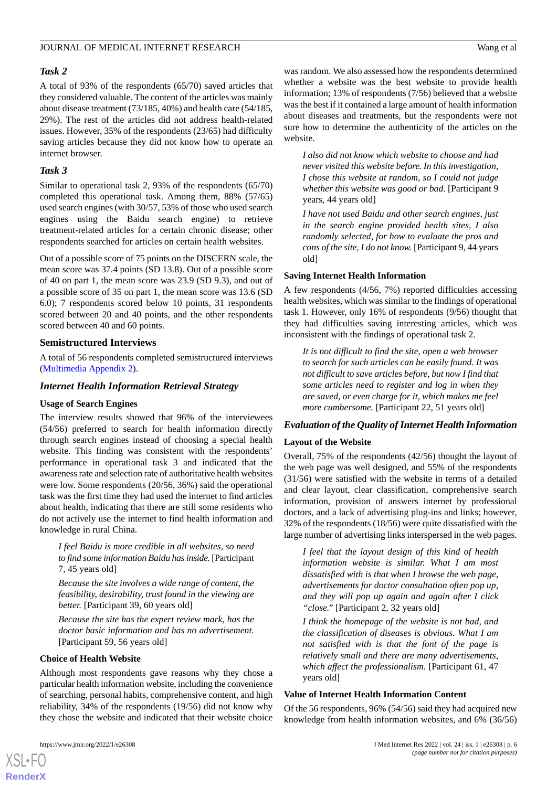#### *Task 2*

A total of 93% of the respondents (65/70) saved articles that they considered valuable. The content of the articles was mainly about disease treatment (73/185, 40%) and health care (54/185, 29%). The rest of the articles did not address health-related issues. However, 35% of the respondents (23/65) had difficulty saving articles because they did not know how to operate an internet browser.

#### *Task 3*

Similar to operational task 2, 93% of the respondents (65/70) completed this operational task. Among them, 88% (57/65) used search engines (with 30/57, 53% of those who used search engines using the Baidu search engine) to retrieve treatment-related articles for a certain chronic disease; other respondents searched for articles on certain health websites.

Out of a possible score of 75 points on the DISCERN scale, the mean score was 37.4 points (SD 13.8). Out of a possible score of 40 on part 1, the mean score was 23.9 (SD 9.3), and out of a possible score of 35 on part 1, the mean score was 13.6 (SD 6.0); 7 respondents scored below 10 points, 31 respondents scored between 20 and 40 points, and the other respondents scored between 40 and 60 points.

#### **Semistructured Interviews**

A total of 56 respondents completed semistructured interviews ([Multimedia Appendix 2\)](#page-8-10).

#### *Internet Health Information Retrieval Strategy*

#### **Usage of Search Engines**

The interview results showed that 96% of the interviewees (54/56) preferred to search for health information directly through search engines instead of choosing a special health website. This finding was consistent with the respondents' performance in operational task 3 and indicated that the awareness rate and selection rate of authoritative health websites were low. Some respondents (20/56, 36%) said the operational task was the first time they had used the internet to find articles about health, indicating that there are still some residents who do not actively use the internet to find health information and knowledge in rural China.

*I feel Baidu is more credible in all websites, so need to find some information Baidu has inside.* [Participant 7, 45 years old]

*Because the site involves a wide range of content, the feasibility, desirability, trust found in the viewing are better.* [Participant 39, 60 years old]

*Because the site has the expert review mark, has the doctor basic information and has no advertisement.* [Participant 59, 56 years old]

#### **Choice of Health Website**

Although most respondents gave reasons why they chose a particular health information website, including the convenience of searching, personal habits, comprehensive content, and high reliability, 34% of the respondents (19/56) did not know why they chose the website and indicated that their website choice

was random. We also assessed how the respondents determined whether a website was the best website to provide health information; 13% of respondents (7/56) believed that a website was the best if it contained a large amount of health information about diseases and treatments, but the respondents were not sure how to determine the authenticity of the articles on the website.

*I also did not know which website to choose and had never visited this website before. In this investigation, I chose this website at random, so I could not judge whether this website was good or bad.* [Participant 9 years, 44 years old]

*I have not used Baidu and other search engines, just in the search engine provided health sites, I also randomly selected, for how to evaluate the pros and cons of the site, I do not know.* [Participant 9, 44 years old]

#### **Saving Internet Health Information**

A few respondents (4/56, 7%) reported difficulties accessing health websites, which was similar to the findings of operational task 1. However, only 16% of respondents (9/56) thought that they had difficulties saving interesting articles, which was inconsistent with the findings of operational task 2.

*It is not difficult to find the site, open a web browser to search for such articles can be easily found. It was not difficult to save articles before, but now I find that some articles need to register and log in when they are saved, or even charge for it, which makes me feel more cumbersome.* [Participant 22, 51 years old]

#### *Evaluation of the Quality of Internet Health Information*

#### **Layout of the Website**

Overall, 75% of the respondents (42/56) thought the layout of the web page was well designed, and 55% of the respondents (31/56) were satisfied with the website in terms of a detailed and clear layout, clear classification, comprehensive search information, provision of answers internet by professional doctors, and a lack of advertising plug-ins and links; however, 32% of the respondents (18/56) were quite dissatisfied with the large number of advertising links interspersed in the web pages.

*I feel that the layout design of this kind of health information website is similar. What I am most dissatisfied with is that when I browse the web page, advertisements for doctor consultation often pop up, and they will pop up again and again after I click "close."* [Participant 2, 32 years old]

*I think the homepage of the website is not bad, and the classification of diseases is obvious. What I am not satisfied with is that the font of the page is relatively small and there are many advertisements, which affect the professionalism.* [Participant 61, 47 years old]

#### **Value of Internet Health Information Content**

Of the 56 respondents, 96% (54/56) said they had acquired new knowledge from health information websites, and 6% (36/56)

```
XSL•FO
RenderX
```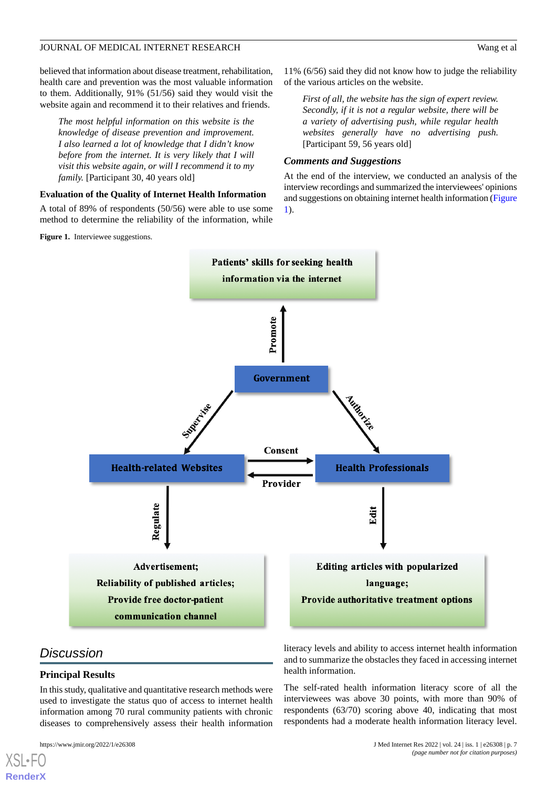believed that information about disease treatment, rehabilitation, health care and prevention was the most valuable information to them. Additionally, 91% (51/56) said they would visit the website again and recommend it to their relatives and friends.

*The most helpful information on this website is the knowledge of disease prevention and improvement. I also learned a lot of knowledge that I didn't know before from the internet. It is very likely that I will visit this website again, or will I recommend it to my family.* [Participant 30, 40 years old]

#### **Evaluation of the Quality of Internet Health Information**

<span id="page-6-0"></span>A total of 89% of respondents (50/56) were able to use some method to determine the reliability of the information, while

11% (6/56) said they did not know how to judge the reliability of the various articles on the website.

*First of all, the website has the sign of expert review. Secondly, if it is not a regular website, there will be a variety of advertising push, while regular health websites generally have no advertising push.* [Participant 59, 56 years old]

#### *Comments and Suggestions*

At the end of the interview, we conducted an analysis of the interview recordings and summarized the interviewees' opinions and suggestions on obtaining internet health information [\(Figure](#page-6-0) [1\)](#page-6-0).



## *Discussion*

[XSL](http://www.w3.org/Style/XSL)•FO **[RenderX](http://www.renderx.com/)**

#### **Principal Results**

In this study, qualitative and quantitative research methods were used to investigate the status quo of access to internet health information among 70 rural community patients with chronic diseases to comprehensively assess their health information

literacy levels and ability to access internet health information and to summarize the obstacles they faced in accessing internet health information.

The self-rated health information literacy score of all the interviewees was above 30 points, with more than 90% of respondents (63/70) scoring above 40, indicating that most respondents had a moderate health information literacy level.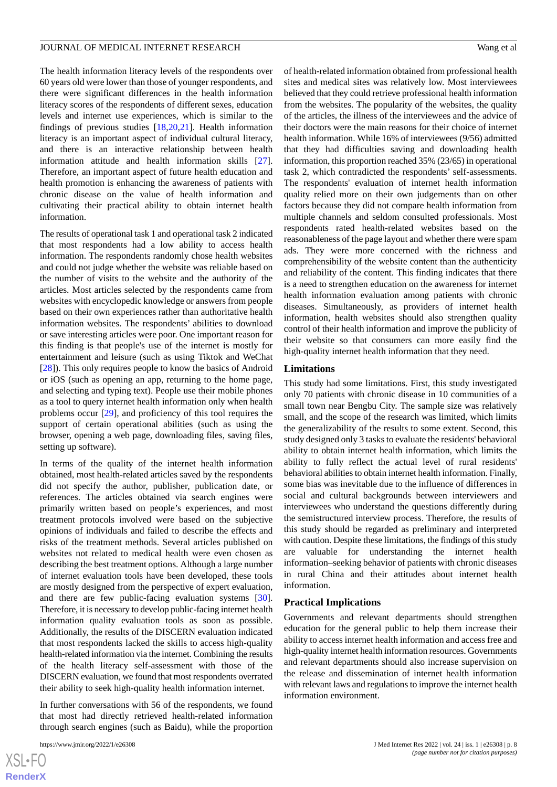The health information literacy levels of the respondents over 60 years old were lower than those of younger respondents, and there were significant differences in the health information literacy scores of the respondents of different sexes, education levels and internet use experiences, which is similar to the findings of previous studies [[18,](#page-9-8)[20](#page-9-10)[,21](#page-9-11)]. Health information literacy is an important aspect of individual cultural literacy, and there is an interactive relationship between health information attitude and health information skills [[27\]](#page-9-17). Therefore, an important aspect of future health education and health promotion is enhancing the awareness of patients with chronic disease on the value of health information and cultivating their practical ability to obtain internet health information.

The results of operational task 1 and operational task 2 indicated that most respondents had a low ability to access health information. The respondents randomly chose health websites and could not judge whether the website was reliable based on the number of visits to the website and the authority of the articles. Most articles selected by the respondents came from websites with encyclopedic knowledge or answers from people based on their own experiences rather than authoritative health information websites. The respondents' abilities to download or save interesting articles were poor. One important reason for this finding is that people's use of the internet is mostly for entertainment and leisure (such as using Tiktok and WeChat [[28\]](#page-9-18)). This only requires people to know the basics of Android or iOS (such as opening an app, returning to the home page, and selecting and typing text). People use their mobile phones as a tool to query internet health information only when health problems occur [[29\]](#page-9-19), and proficiency of this tool requires the support of certain operational abilities (such as using the browser, opening a web page, downloading files, saving files, setting up software).

In terms of the quality of the internet health information obtained, most health-related articles saved by the respondents did not specify the author, publisher, publication date, or references. The articles obtained via search engines were primarily written based on people's experiences, and most treatment protocols involved were based on the subjective opinions of individuals and failed to describe the effects and risks of the treatment methods. Several articles published on websites not related to medical health were even chosen as describing the best treatment options. Although a large number of internet evaluation tools have been developed, these tools are mostly designed from the perspective of expert evaluation, and there are few public-facing evaluation systems [[30\]](#page-9-20). Therefore, it is necessary to develop public-facing internet health information quality evaluation tools as soon as possible. Additionally, the results of the DISCERN evaluation indicated that most respondents lacked the skills to access high-quality health-related information via the internet. Combining the results of the health literacy self-assessment with those of the DISCERN evaluation, we found that most respondents overrated their ability to seek high-quality health information internet.

In further conversations with 56 of the respondents, we found that most had directly retrieved health-related information through search engines (such as Baidu), while the proportion

of health-related information obtained from professional health sites and medical sites was relatively low. Most interviewees believed that they could retrieve professional health information from the websites. The popularity of the websites, the quality of the articles, the illness of the interviewees and the advice of their doctors were the main reasons for their choice of internet health information. While 16% of interviewees (9/56) admitted that they had difficulties saving and downloading health information, this proportion reached 35% (23/65) in operational task 2, which contradicted the respondents' self-assessments. The respondents' evaluation of internet health information quality relied more on their own judgements than on other factors because they did not compare health information from multiple channels and seldom consulted professionals. Most respondents rated health-related websites based on the reasonableness of the page layout and whether there were spam ads. They were more concerned with the richness and comprehensibility of the website content than the authenticity and reliability of the content. This finding indicates that there is a need to strengthen education on the awareness for internet health information evaluation among patients with chronic diseases. Simultaneously, as providers of internet health information, health websites should also strengthen quality control of their health information and improve the publicity of their website so that consumers can more easily find the high-quality internet health information that they need.

#### **Limitations**

This study had some limitations. First, this study investigated only 70 patients with chronic disease in 10 communities of a small town near Bengbu City. The sample size was relatively small, and the scope of the research was limited, which limits the generalizability of the results to some extent. Second, this study designed only 3 tasks to evaluate the residents' behavioral ability to obtain internet health information, which limits the ability to fully reflect the actual level of rural residents' behavioral abilities to obtain internet health information. Finally, some bias was inevitable due to the influence of differences in social and cultural backgrounds between interviewers and interviewees who understand the questions differently during the semistructured interview process. Therefore, the results of this study should be regarded as preliminary and interpreted with caution. Despite these limitations, the findings of this study are valuable for understanding the internet health information–seeking behavior of patients with chronic diseases in rural China and their attitudes about internet health information.

#### **Practical Implications**

Governments and relevant departments should strengthen education for the general public to help them increase their ability to access internet health information and access free and high-quality internet health information resources. Governments and relevant departments should also increase supervision on the release and dissemination of internet health information with relevant laws and regulations to improve the internet health information environment.

```
XSL•FO
RenderX
```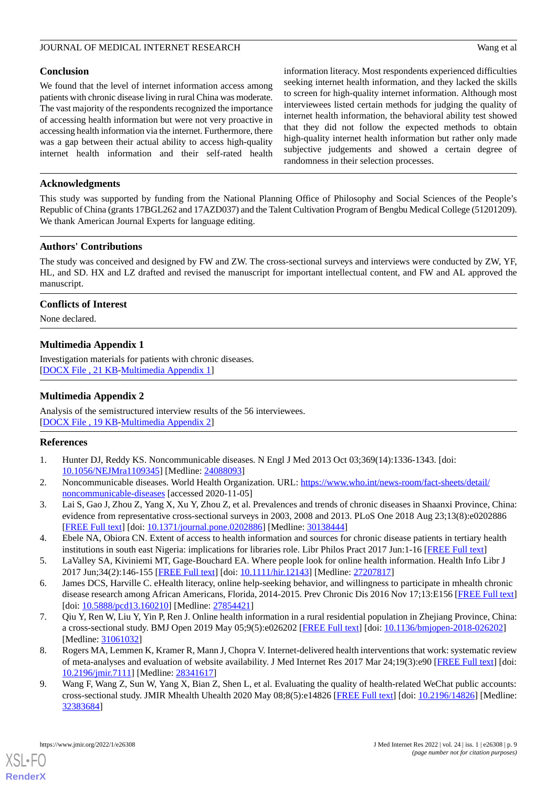#### **Conclusion**

We found that the level of internet information access among patients with chronic disease living in rural China was moderate. The vast majority of the respondents recognized the importance of accessing health information but were not very proactive in accessing health information via the internet. Furthermore, there was a gap between their actual ability to access high-quality internet health information and their self-rated health information literacy. Most respondents experienced difficulties seeking internet health information, and they lacked the skills to screen for high-quality internet information. Although most interviewees listed certain methods for judging the quality of internet health information, the behavioral ability test showed that they did not follow the expected methods to obtain high-quality internet health information but rather only made subjective judgements and showed a certain degree of randomness in their selection processes.

#### **Acknowledgments**

This study was supported by funding from the National Planning Office of Philosophy and Social Sciences of the People's Republic of China (grants 17BGL262 and 17AZD037) and the Talent Cultivation Program of Bengbu Medical College (51201209). We thank American Journal Experts for language editing.

#### **Authors' Contributions**

The study was conceived and designed by FW and ZW. The cross-sectional surveys and interviews were conducted by ZW, YF, HL, and SD. HX and LZ drafted and revised the manuscript for important intellectual content, and FW and AL approved the manuscript.

#### <span id="page-8-9"></span>**Conflicts of Interest**

None declared.

#### **Multimedia Appendix 1**

<span id="page-8-10"></span>Investigation materials for patients with chronic diseases. [[DOCX File , 21 KB](https://jmir.org/api/download?alt_name=jmir_v24i1e26308_app1.docx&filename=10bcb73fb695c5b406a7cec38b98d9f8.docx)-[Multimedia Appendix 1\]](https://jmir.org/api/download?alt_name=jmir_v24i1e26308_app1.docx&filename=10bcb73fb695c5b406a7cec38b98d9f8.docx)

#### **Multimedia Appendix 2**

<span id="page-8-0"></span>Analysis of the semistructured interview results of the 56 interviewees. [[DOCX File , 19 KB](https://jmir.org/api/download?alt_name=jmir_v24i1e26308_app2.docx&filename=915a406e6469636000ac14af5800e3fc.docx)-[Multimedia Appendix 2\]](https://jmir.org/api/download?alt_name=jmir_v24i1e26308_app2.docx&filename=915a406e6469636000ac14af5800e3fc.docx)

#### <span id="page-8-1"></span>**References**

- <span id="page-8-2"></span>1. Hunter DJ, Reddy KS. Noncommunicable diseases. N Engl J Med 2013 Oct 03;369(14):1336-1343. [doi: [10.1056/NEJMra1109345\]](http://dx.doi.org/10.1056/NEJMra1109345) [Medline: [24088093](http://www.ncbi.nlm.nih.gov/entrez/query.fcgi?cmd=Retrieve&db=PubMed&list_uids=24088093&dopt=Abstract)]
- <span id="page-8-3"></span>2. Noncommunicable diseases. World Health Organization. URL: [https://www.who.int/news-room/fact-sheets/detail/](https://www.who.int/news-room/fact-sheets/detail/noncommunicable-diseases) [noncommunicable-diseases](https://www.who.int/news-room/fact-sheets/detail/noncommunicable-diseases) [accessed 2020-11-05]
- <span id="page-8-4"></span>3. Lai S, Gao J, Zhou Z, Yang X, Xu Y, Zhou Z, et al. Prevalences and trends of chronic diseases in Shaanxi Province, China: evidence from representative cross-sectional surveys in 2003, 2008 and 2013. PLoS One 2018 Aug 23;13(8):e0202886 [[FREE Full text](https://dx.plos.org/10.1371/journal.pone.0202886)] [doi: [10.1371/journal.pone.0202886](http://dx.doi.org/10.1371/journal.pone.0202886)] [Medline: [30138444](http://www.ncbi.nlm.nih.gov/entrez/query.fcgi?cmd=Retrieve&db=PubMed&list_uids=30138444&dopt=Abstract)]
- <span id="page-8-5"></span>4. Ebele NA, Obiora CN. Extent of access to health information and sources for chronic disease patients in tertiary health institutions in south east Nigeria: implications for libraries role. Libr Philos Pract 2017 Jun:1-16 [[FREE Full text](https://digitalcommons.unl.edu/libphilprac/1504/)]
- <span id="page-8-6"></span>5. LaValley SA, Kiviniemi MT, Gage-Bouchard EA. Where people look for online health information. Health Info Libr J 2017 Jun;34(2):146-155 [\[FREE Full text\]](https://doi.org/10.1111/hir.12143) [doi: [10.1111/hir.12143](http://dx.doi.org/10.1111/hir.12143)] [Medline: [27207817](http://www.ncbi.nlm.nih.gov/entrez/query.fcgi?cmd=Retrieve&db=PubMed&list_uids=27207817&dopt=Abstract)]
- <span id="page-8-7"></span>6. James DCS, Harville C. eHealth literacy, online help-seeking behavior, and willingness to participate in mhealth chronic disease research among African Americans, Florida, 2014-2015. Prev Chronic Dis 2016 Nov 17;13:E156 [[FREE Full text](https://www.cdc.gov/pcd/issues/2016/16_0210.htm)] [doi: [10.5888/pcd13.160210](http://dx.doi.org/10.5888/pcd13.160210)] [Medline: [27854421\]](http://www.ncbi.nlm.nih.gov/entrez/query.fcgi?cmd=Retrieve&db=PubMed&list_uids=27854421&dopt=Abstract)
- <span id="page-8-8"></span>7. Qiu Y, Ren W, Liu Y, Yin P, Ren J. Online health information in a rural residential population in Zhejiang Province, China: a cross-sectional study. BMJ Open 2019 May 05;9(5):e026202 [\[FREE Full text\]](https://bmjopen.bmj.com/lookup/pmidlookup?view=long&pmid=31061032) [doi: [10.1136/bmjopen-2018-026202\]](http://dx.doi.org/10.1136/bmjopen-2018-026202) [Medline: [31061032](http://www.ncbi.nlm.nih.gov/entrez/query.fcgi?cmd=Retrieve&db=PubMed&list_uids=31061032&dopt=Abstract)]
- 8. Rogers MA, Lemmen K, Kramer R, Mann J, Chopra V. Internet-delivered health interventions that work: systematic review of meta-analyses and evaluation of website availability. J Med Internet Res 2017 Mar 24;19(3):e90 [\[FREE Full text\]](https://www.jmir.org/2017/3/e90/) [doi: [10.2196/jmir.7111](http://dx.doi.org/10.2196/jmir.7111)] [Medline: [28341617](http://www.ncbi.nlm.nih.gov/entrez/query.fcgi?cmd=Retrieve&db=PubMed&list_uids=28341617&dopt=Abstract)]
- 9. Wang F, Wang Z, Sun W, Yang X, Bian Z, Shen L, et al. Evaluating the quality of health-related WeChat public accounts: cross-sectional study. JMIR Mhealth Uhealth 2020 May 08;8(5):e14826 [[FREE Full text](https://mhealth.jmir.org/2020/5/e14826/)] [doi: [10.2196/14826\]](http://dx.doi.org/10.2196/14826) [Medline: [32383684](http://www.ncbi.nlm.nih.gov/entrez/query.fcgi?cmd=Retrieve&db=PubMed&list_uids=32383684&dopt=Abstract)]

[XSL](http://www.w3.org/Style/XSL)•FO **[RenderX](http://www.renderx.com/)**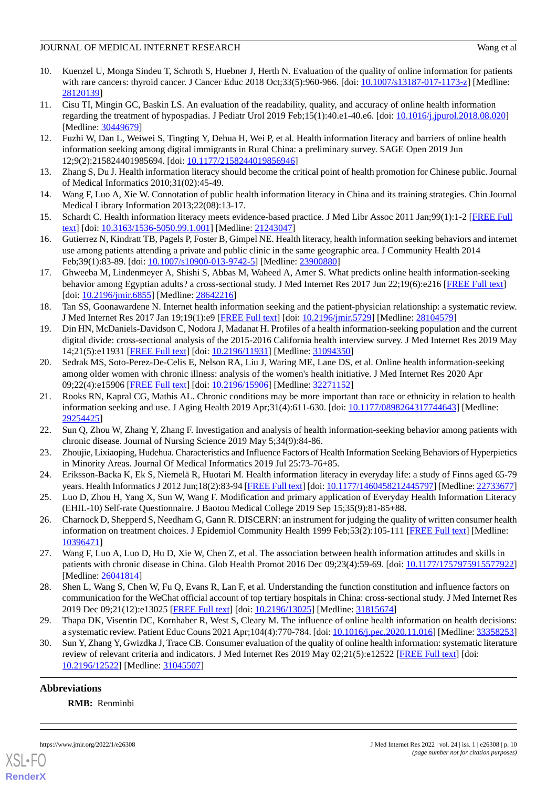- <span id="page-9-0"></span>10. Kuenzel U, Monga Sindeu T, Schroth S, Huebner J, Herth N. Evaluation of the quality of online information for patients with rare cancers: thyroid cancer. J Cancer Educ 2018 Oct;33(5):960-966. [doi: [10.1007/s13187-017-1173-z\]](http://dx.doi.org/10.1007/s13187-017-1173-z) [Medline: [28120139](http://www.ncbi.nlm.nih.gov/entrez/query.fcgi?cmd=Retrieve&db=PubMed&list_uids=28120139&dopt=Abstract)]
- <span id="page-9-1"></span>11. Cisu TI, Mingin GC, Baskin LS. An evaluation of the readability, quality, and accuracy of online health information regarding the treatment of hypospadias. J Pediatr Urol 2019 Feb;15(1):40.e1-40.e6. [doi: [10.1016/j.jpurol.2018.08.020\]](http://dx.doi.org/10.1016/j.jpurol.2018.08.020) [Medline: [30449679](http://www.ncbi.nlm.nih.gov/entrez/query.fcgi?cmd=Retrieve&db=PubMed&list_uids=30449679&dopt=Abstract)]
- <span id="page-9-2"></span>12. Fuzhi W, Dan L, Weiwei S, Tingting Y, Dehua H, Wei P, et al. Health information literacy and barriers of online health information seeking among digital immigrants in Rural China: a preliminary survey. SAGE Open 2019 Jun 12;9(2):215824401985694. [doi: [10.1177/2158244019856946](http://dx.doi.org/10.1177/2158244019856946)]
- <span id="page-9-4"></span><span id="page-9-3"></span>13. Zhang S, Du J. Health information literacy should become the critical point of health promotion for Chinese public. Journal of Medical Informatics 2010;31(02):45-49.
- <span id="page-9-5"></span>14. Wang F, Luo A, Xie W. Connotation of public health information literacy in China and its training strategies. Chin Journal Medical Library Information 2013;22(08):13-17.
- <span id="page-9-6"></span>15. Schardt C. Health information literacy meets evidence-based practice. J Med Libr Assoc 2011 Jan;99(1):1-2 [[FREE Full](http://europepmc.org/abstract/MED/21243047) [text](http://europepmc.org/abstract/MED/21243047)] [doi: [10.3163/1536-5050.99.1.001\]](http://dx.doi.org/10.3163/1536-5050.99.1.001) [Medline: [21243047](http://www.ncbi.nlm.nih.gov/entrez/query.fcgi?cmd=Retrieve&db=PubMed&list_uids=21243047&dopt=Abstract)]
- <span id="page-9-7"></span>16. Gutierrez N, Kindratt TB, Pagels P, Foster B, Gimpel NE. Health literacy, health information seeking behaviors and internet use among patients attending a private and public clinic in the same geographic area. J Community Health 2014 Feb;39(1):83-89. [doi: [10.1007/s10900-013-9742-5\]](http://dx.doi.org/10.1007/s10900-013-9742-5) [Medline: [23900880](http://www.ncbi.nlm.nih.gov/entrez/query.fcgi?cmd=Retrieve&db=PubMed&list_uids=23900880&dopt=Abstract)]
- <span id="page-9-8"></span>17. Ghweeba M, Lindenmeyer A, Shishi S, Abbas M, Waheed A, Amer S. What predicts online health information-seeking behavior among Egyptian adults? a cross-sectional study. J Med Internet Res 2017 Jun 22;19(6):e216 [[FREE Full text\]](http://www.jmir.org/2017/6/e216/) [doi: [10.2196/jmir.6855\]](http://dx.doi.org/10.2196/jmir.6855) [Medline: [28642216\]](http://www.ncbi.nlm.nih.gov/entrez/query.fcgi?cmd=Retrieve&db=PubMed&list_uids=28642216&dopt=Abstract)
- <span id="page-9-9"></span>18. Tan SS, Goonawardene N. Internet health information seeking and the patient-physician relationship: a systematic review. J Med Internet Res 2017 Jan 19;19(1):e9 [[FREE Full text](http://www.jmir.org/2017/1/e9/)] [doi: [10.2196/jmir.5729](http://dx.doi.org/10.2196/jmir.5729)] [Medline: [28104579\]](http://www.ncbi.nlm.nih.gov/entrez/query.fcgi?cmd=Retrieve&db=PubMed&list_uids=28104579&dopt=Abstract)
- <span id="page-9-10"></span>19. Din HN, McDaniels-Davidson C, Nodora J, Madanat H. Profiles of a health information-seeking population and the current digital divide: cross-sectional analysis of the 2015-2016 California health interview survey. J Med Internet Res 2019 May 14;21(5):e11931 [\[FREE Full text](https://www.jmir.org/2019/5/e11931/)] [doi: [10.2196/11931\]](http://dx.doi.org/10.2196/11931) [Medline: [31094350\]](http://www.ncbi.nlm.nih.gov/entrez/query.fcgi?cmd=Retrieve&db=PubMed&list_uids=31094350&dopt=Abstract)
- <span id="page-9-11"></span>20. Sedrak MS, Soto-Perez-De-Celis E, Nelson RA, Liu J, Waring ME, Lane DS, et al. Online health information-seeking among older women with chronic illness: analysis of the women's health initiative. J Med Internet Res 2020 Apr 09;22(4):e15906 [\[FREE Full text](https://www.jmir.org/2020/4/e15906/)] [doi: [10.2196/15906\]](http://dx.doi.org/10.2196/15906) [Medline: [32271152\]](http://www.ncbi.nlm.nih.gov/entrez/query.fcgi?cmd=Retrieve&db=PubMed&list_uids=32271152&dopt=Abstract)
- <span id="page-9-13"></span><span id="page-9-12"></span>21. Rooks RN, Kapral CG, Mathis AL. Chronic conditions may be more important than race or ethnicity in relation to health information seeking and use. J Aging Health 2019 Apr;31(4):611-630. [doi: [10.1177/0898264317744643\]](http://dx.doi.org/10.1177/0898264317744643) [Medline: [29254425](http://www.ncbi.nlm.nih.gov/entrez/query.fcgi?cmd=Retrieve&db=PubMed&list_uids=29254425&dopt=Abstract)]
- <span id="page-9-14"></span>22. Sun Q, Zhou W, Zhang Y, Zhang F. Investigation and analysis of health information-seeking behavior among patients with chronic disease. Journal of Nursing Science 2019 May 5;34(9):84-86.
- <span id="page-9-15"></span>23. Zhoujie, Lixiaoping, Hudehua. Characteristics and Influence Factors of Health Information Seeking Behaviors of Hyperpietics in Minority Areas. Journal Of Medical Informatics 2019 Jul 25:73-76+85.
- <span id="page-9-16"></span>24. Eriksson-Backa K, Ek S, Niemelä R, Huotari M. Health information literacy in everyday life: a study of Finns aged 65-79 years. Health Informatics J 2012 Jun;18(2):83-94 [\[FREE Full text](https://journals.sagepub.com/doi/10.1177/1460458212445797?url_ver=Z39.88-2003&rfr_id=ori:rid:crossref.org&rfr_dat=cr_pub%3dpubmed)] [doi: [10.1177/1460458212445797\]](http://dx.doi.org/10.1177/1460458212445797) [Medline: [22733677](http://www.ncbi.nlm.nih.gov/entrez/query.fcgi?cmd=Retrieve&db=PubMed&list_uids=22733677&dopt=Abstract)]
- <span id="page-9-17"></span>25. Luo D, Zhou H, Yang X, Sun W, Wang F. Modification and primary application of Everyday Health Information Literacy (EHIL-10) Self-rate Questionnaire. J Baotou Medical College 2019 Sep 15;35(9):81-85+88.
- <span id="page-9-18"></span>26. Charnock D, Shepperd S, Needham G, Gann R. DISCERN: an instrument for judging the quality of written consumer health information on treatment choices. J Epidemiol Community Health 1999 Feb; 53(2):105-111 [[FREE Full text](http://jech.bmj.com/cgi/pmidlookup?view=long&pmid=10396471)] [Medline: [10396471](http://www.ncbi.nlm.nih.gov/entrez/query.fcgi?cmd=Retrieve&db=PubMed&list_uids=10396471&dopt=Abstract)]
- <span id="page-9-19"></span>27. Wang F, Luo A, Luo D, Hu D, Xie W, Chen Z, et al. The association between health information attitudes and skills in patients with chronic disease in China. Glob Health Promot 2016 Dec 09;23(4):59-69. [doi: [10.1177/1757975915577922](http://dx.doi.org/10.1177/1757975915577922)] [Medline: [26041814](http://www.ncbi.nlm.nih.gov/entrez/query.fcgi?cmd=Retrieve&db=PubMed&list_uids=26041814&dopt=Abstract)]
- <span id="page-9-20"></span>28. Shen L, Wang S, Chen W, Fu Q, Evans R, Lan F, et al. Understanding the function constitution and influence factors on communication for the WeChat official account of top tertiary hospitals in China: cross-sectional study. J Med Internet Res 2019 Dec 09;21(12):e13025 [\[FREE Full text\]](https://www.jmir.org/2019/12/e13025/) [doi: [10.2196/13025](http://dx.doi.org/10.2196/13025)] [Medline: [31815674\]](http://www.ncbi.nlm.nih.gov/entrez/query.fcgi?cmd=Retrieve&db=PubMed&list_uids=31815674&dopt=Abstract)
- 29. Thapa DK, Visentin DC, Kornhaber R, West S, Cleary M. The influence of online health information on health decisions: a systematic review. Patient Educ Couns 2021 Apr;104(4):770-784. [doi: [10.1016/j.pec.2020.11.016\]](http://dx.doi.org/10.1016/j.pec.2020.11.016) [Medline: [33358253](http://www.ncbi.nlm.nih.gov/entrez/query.fcgi?cmd=Retrieve&db=PubMed&list_uids=33358253&dopt=Abstract)]
- 30. Sun Y, Zhang Y, Gwizdka J, Trace CB. Consumer evaluation of the quality of online health information: systematic literature review of relevant criteria and indicators. J Med Internet Res 2019 May 02;21(5):e12522 [\[FREE Full text\]](https://www.jmir.org/2019/5/e12522/) [doi: [10.2196/12522\]](http://dx.doi.org/10.2196/12522) [Medline: [31045507\]](http://www.ncbi.nlm.nih.gov/entrez/query.fcgi?cmd=Retrieve&db=PubMed&list_uids=31045507&dopt=Abstract)

## **Abbreviations**

**RMB:** Renminbi

![](_page_9_Picture_25.jpeg)